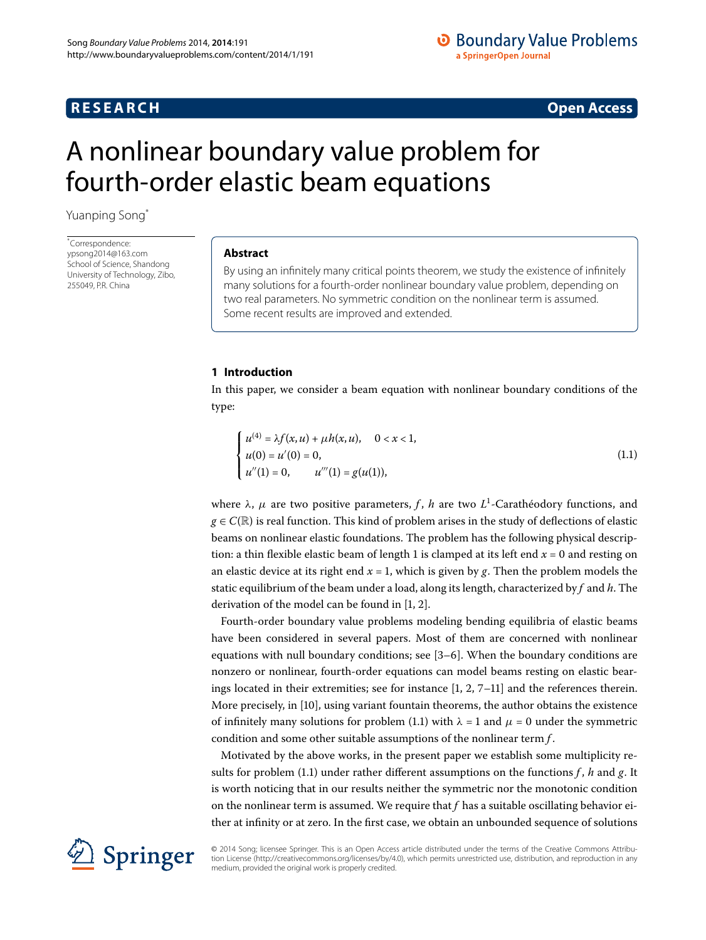## **RESEARCH CONSTRUCTER IN A RESEARCH CONSTRUCTER IN A RESEARCH**

# <span id="page-0-0"></span>A nonlinear boundary value problem for fourth-order elastic beam equations

Yuanping Song[\\*](#page-0-0)

\* Correspondence: [ypsong2014@163.com](mailto:ypsong2014@163.com) School of Science, Shandong University of Technology, Zibo, 255049, P.R. China

#### **Abstract**

By using an infinitely many critical points theorem, we study the existence of infinitely many solutions for a fourth-order nonlinear boundary value problem, depending on two real parameters. No symmetric condition on the nonlinear term is assumed. Some recent results are improved and extended.

#### **1 Introduction**

In this paper, we consider a beam equation with nonlinear boundary conditions of the type:

<span id="page-0-1"></span>
$$
\begin{cases}\n u^{(4)} = \lambda f(x, u) + \mu h(x, u), & 0 < x < 1, \\
u(0) = u'(0) = 0, & u''(1) = g(u(1)),\n\end{cases}
$$
\n(1.1)

where *λ*, *μ* are two positive parameters, *f* , *h* are two *L* -Carathéodory functions, and  $g \in C(\mathbb{R})$  is real function. This kind of problem arises in the study of deflections of elastic beams on nonlinear elastic foundations. The problem has the following physical description: a thin flexible elastic beam of length 1 is clamped at its left end  $x = 0$  and resting on an elastic device at its right end  $x = 1$ , which is given by  $g$ . Then the problem models the static equilibrium of the beam under a load, along its length, characterized by *f* and *h*. The derivation of the model can be found in  $[1, 2]$  $[1, 2]$  $[1, 2]$ .

Fourth-order boundary value problems modeling bending equilibria of elastic beams have been considered in several papers. Most of them are concerned with nonlinear equations with null boundary conditions; see  $[3-6]$  $[3-6]$ . When the boundary conditions are nonzero or nonlinear, fourth-order equations can model beams resting on elastic bearings located in their extremities; see for instance  $[1, 2, 7-11]$  $[1, 2, 7-11]$  and the references therein. More precisely, in [10], using variant fountain theorems, the author obtains the existence of infinitely many solutions for problem (1[.](#page-0-1)1) with  $\lambda = 1$  and  $\mu = 0$  under the symmetric condition and some other suitable assumptions of the nonlinear term *f* .

Motivated by the above works, in the present paper we establish some multiplicity results for problem (1.1) under rather different assumptions on the functions  $f$ ,  $h$  and  $g$ . It is worth noticing that in our results neither the symmetric nor the monotonic condition on the nonlinear term is assumed. We require that *f* has a suitable oscillating behavior either at infinity or at zero. In the first case, we obtain an unbounded sequence of solutions



© 2014 Song; licensee Springer. This is an Open Access article distributed under the terms of the Creative Commons Attribution License (http://creativecommons.org/licenses/by/4.0), which permits unrestricted use, distribution, and reproduction in any medium, provided the original work is properly credited.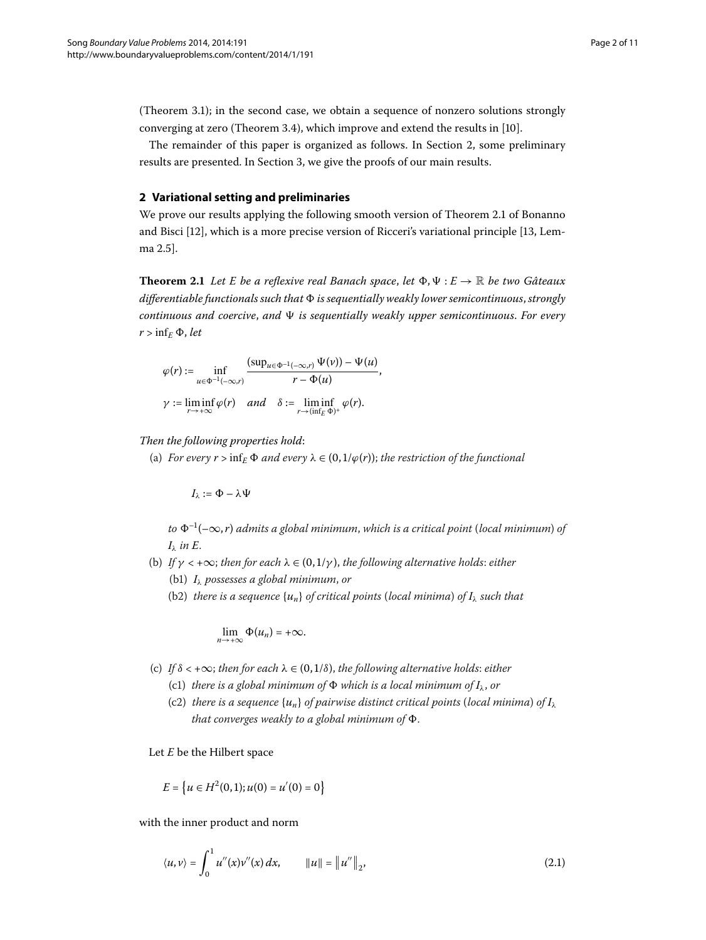<span id="page-1-0"></span>(Theorem 3[.](#page-3-0)1); in the second case, we obtain a sequence of nonzero solutions strongly converging at zero (Theorem 3.4), which improve and extend the results in  $[10]$  $[10]$ .

The remainder of this paper is organized as follows. In Section 2[,](#page-1-0) some preliminary results are presented. In Section 3, we give the proofs of our main results.

#### <span id="page-1-1"></span>**2 Variational setting and preliminaries**

We prove our results applying the following smooth version of Theorem 2.1 of Bonanno and Bisci  $[12]$  $[12]$ [,](#page-10-3) which is a more precise version of Ricceri's variational principle  $[13]$ , Lemma 2.5].

**Theorem 2.1** Let E be a reflexive real Banach space, let  $\Phi, \Psi: E \to \mathbb{R}$  be two Gâteaux *differentiable functionals such that is sequentially weakly lower semicontinuous*,*strongly continuous and coercive*, *and is sequentially weakly upper semicontinuous*. *For every*  $r > \inf_E \Phi$ , *let* 

$$
\varphi(r) := \inf_{u \in \Phi^{-1}(-\infty,r)} \frac{(\sup_{u \in \Phi^{-1}(-\infty,r)} \Psi(v)) - \Psi(u)}{r - \Phi(u)},
$$
  

$$
\gamma := \liminf_{r \to +\infty} \varphi(r) \quad and \quad \delta := \liminf_{r \to (\inf_E \Phi)^+} \varphi(r).
$$

*Then the following properties hold*:

(a) *For every*  $r > \inf_E \Phi$  *and every*  $\lambda \in (0, 1/\varphi(r))$ ; *the restriction of the functional* 

$$
I_\lambda:=\Phi-\lambda\Psi
$$

 $to \Phi^{-1}(-\infty, r)$  *admits a global minimum, which is a critical point* (*local minimum*) *of I<sup>λ</sup> in E*.

- (b) *If*  $\gamma$  < + $\infty$ ; *then for each*  $\lambda \in (0, 1/\gamma)$ , *the following alternative holds: either* (b) *I<sup>λ</sup> possesses a global minimum*, *or*
	- (b2) *there is a sequence*  $\{u_n\}$  *of critical points* (*local minima*) *of*  $I_\lambda$  *such that*

$$
\lim_{n\to+\infty}\Phi(u_n)=+\infty.
$$

- (c) If  $\delta$  < + $\infty$ ; *then for each*  $\lambda \in (0, 1/\delta)$ , *the following alternative holds: either* 
	- (c1) *there is a global minimum of*  $\Phi$  *which is a local minimum of*  $I_{\lambda}$ *, or*
	- (c2) *there is a sequence*  $\{u_n\}$  *of pairwise distinct critical points* (*local minima*) *of*  $I_\lambda$ *that converges weakly to a global minimum of*  $\Phi$ .

Let *E* be the Hilbert space

$$
E = \left\{ u \in H^2(0,1); u(0) = u'(0) = 0 \right\}
$$

with the inner product and norm

$$
\langle u, v \rangle = \int_0^1 u''(x) v''(x) \, dx, \qquad \|u\| = \|u''\|_2,
$$
\n(2.1)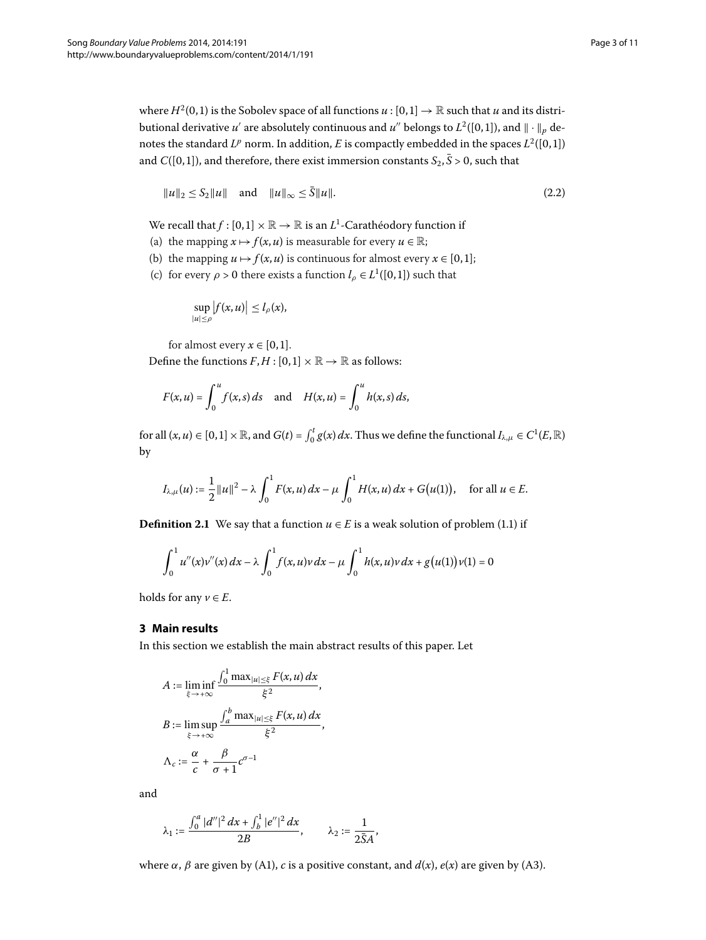where  $H^2(0, 1)$  is the Sobolev space of all functions  $u : [0, 1] \to \mathbb{R}$  such that *u* and its distributional derivative  $u'$  are absolutely continuous and  $u''$  belongs to  $L^2([0,1])$ , and  $\|\cdot\|_p$  denotes the standard  $L^p$  norm. In addition, *E* is compactly embedded in the spaces  $L^2([0,1])$ and *C*([0,1]), and therefore, there exist immersion constants  $S_2$ ,  $\bar{S} > 0$ , such that

<span id="page-2-1"></span>
$$
\|u\|_2 \le S_2 \|u\| \quad \text{and} \quad \|u\|_{\infty} \le \bar{S} \|u\|.
$$
 (2.2)

We recall that  $f : [0,1] \times \mathbb{R} \to \mathbb{R}$  is an  $L^1$ -Carathéodory function if

- (a) the mapping  $x \mapsto f(x, u)$  is measurable for every  $u \in \mathbb{R}$ ;
- (b) the mapping  $u \mapsto f(x, u)$  is continuous for almost every  $x \in [0, 1]$ ;
- (c) for every  $\rho > 0$  there exists a function  $l_\rho \in L^1([0,1])$  such that

$$
\sup_{|u|\leq \rho} |f(x,u)| \leq l_{\rho}(x),
$$

for almost every  $x \in [0, 1]$ .

Define the functions  $F, H : [0,1] \times \mathbb{R} \rightarrow \mathbb{R}$  as follows:

$$
F(x, u) = \int_0^u f(x, s) \, ds \quad \text{and} \quad H(x, u) = \int_0^u h(x, s) \, ds,
$$

 $f$  for all  $(x, u) \in [0, 1] \times \mathbb{R}$ , and  $G(t) = \int_0^t g(x) dx$ . Thus we define the functional  $I_{\lambda, \mu} \in C^1(E, \mathbb{R})$ by

$$
I_{\lambda,\mu}(u) := \frac{1}{2} ||u||^2 - \lambda \int_0^1 F(x,u) \, dx - \mu \int_0^1 H(x,u) \, dx + G(u(1)), \quad \text{for all } u \in E.
$$

<span id="page-2-0"></span>**Definition 2.1** We say that a function  $u \in E$  is a weak solution of problem (1.1) if

$$
\int_0^1 u''(x)v''(x) dx - \lambda \int_0^1 f(x, u)v dx - \mu \int_0^1 h(x, u)v dx + g(u(1))v(1) = 0
$$

holds for any  $v \in E$ .

#### **3 Main results**

In this section we establish the main abstract results of this paper. Let

$$
A := \liminf_{\xi \to +\infty} \frac{\int_0^1 \max_{|u| \le \xi} F(x, u) dx}{\xi^2},
$$
  

$$
B := \limsup_{\xi \to +\infty} \frac{\int_a^b \max_{|u| \le \xi} F(x, u) dx}{\xi^2},
$$
  

$$
\Lambda_c := \frac{\alpha}{c} + \frac{\beta}{\sigma + 1} c^{\sigma - 1}
$$

and

$$
\lambda_1:=\frac{\int_0^a |d''|^2\,dx+\int_b^1 |e''|^2\,dx}{2B},\qquad \lambda_2:=\frac{1}{2\bar{S}A},
$$

where  $\alpha$ ,  $\beta$  are given by (A1),  $c$  is a positive constant, and  $d(x)$ ,  $e(x)$  are given by (A3).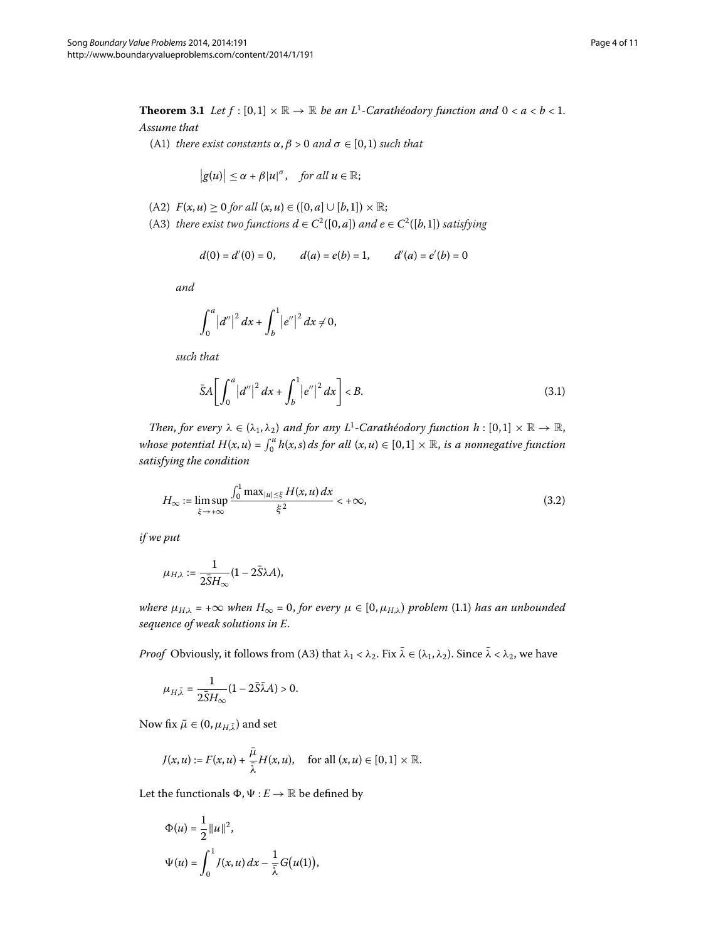<span id="page-3-0"></span>**Theorem 3.1** Let  $f : [0,1] \times \mathbb{R} \to \mathbb{R}$  be an L<sup>1</sup>-Carathéodory function and  $0 < a < b < 1$ . *Assume that*

(A1) *there exist constants*  $\alpha$ ,  $\beta$  > 0 *and*  $\sigma \in [0,1)$  *such that* 

$$
|g(u)| \leq \alpha + \beta |u|^{\sigma}, \quad \text{for all } u \in \mathbb{R};
$$

- $F(x, u) \ge 0$  *for all*  $(x, u) \in ([0, a] \cup [b, 1]) \times \mathbb{R}$ ;
- (A3) *there exist two functions*  $d \in C^2([0, a])$  *and*  $e \in C^2([b, 1])$  *satisfying*

<span id="page-3-2"></span>
$$
d(0) = d'(0) = 0,
$$
  $d(a) = e(b) = 1,$   $d'(a) = e'(b) = 0$ 

*and*

$$
\int_0^a |d''|^2 dx + \int_b^1 |e''|^2 dx \neq 0,
$$

*such that*

<span id="page-3-1"></span>
$$
\bar{S}A\bigg[\int_0^a |d''|^2 \, dx + \int_b^1 |e''|^2 \, dx\bigg] < B. \tag{3.1}
$$

*Then, for every*  $\lambda \in (\lambda_1, \lambda_2)$  *and for any*  $L^1$ -Carathéodory function  $h : [0,1] \times \mathbb{R} \to \mathbb{R}$ , *whose potential*  $H(x, u) = \int_0^u h(x, s) ds$  for all  $(x, u) \in [0, 1] \times \mathbb{R}$ , is a nonnegative function *satisfying the condition*

$$
H_{\infty} := \limsup_{\xi \to +\infty} \frac{\int_0^1 \max_{|u| \le \xi} H(x, u) dx}{\xi^2} < +\infty,
$$
\n(3.2)

*if we put*

$$
\mu_{H,\lambda}:=\frac{1}{2\bar{S}H_{\infty}}(1-2\bar{S}\lambda A),
$$

*where*  $\mu_{H,\lambda}$  = + $\infty$  *when*  $H_{\infty}$  = 0, for every  $\mu \in [0, \mu_{H,\lambda})$  problem (1.1) has an unbounded *sequence of weak solutions in E*.

*Proof* Obviously, it follows from (A3) that  $\lambda_1 < \lambda_2$ . Fix  $\bar{\lambda} \in (\lambda_1, \lambda_2)$ . Since  $\bar{\lambda} < \lambda_2$ , we have

$$
\mu_{H,\bar{\lambda}} = \frac{1}{2\bar{S}H_{\infty}}(1 - 2\bar{S}\bar{\lambda}A) > 0.
$$

Now fix  $\bar{\mu} \in (0, \mu_{H,\bar{\lambda}})$  and set

$$
J(x, u) := F(x, u) + \frac{\bar{\mu}}{\bar{\lambda}} H(x, u), \quad \text{for all } (x, u) \in [0, 1] \times \mathbb{R}.
$$

Let the functionals  $\Phi$ ,  $\Psi$  : *E*  $\rightarrow \mathbb{R}$  be defined by

$$
\Phi(u) = \frac{1}{2} ||u||^2,
$$
  

$$
\Psi(u) = \int_0^1 J(x, u) dx - \frac{1}{\overline{\lambda}} G(u(1)),
$$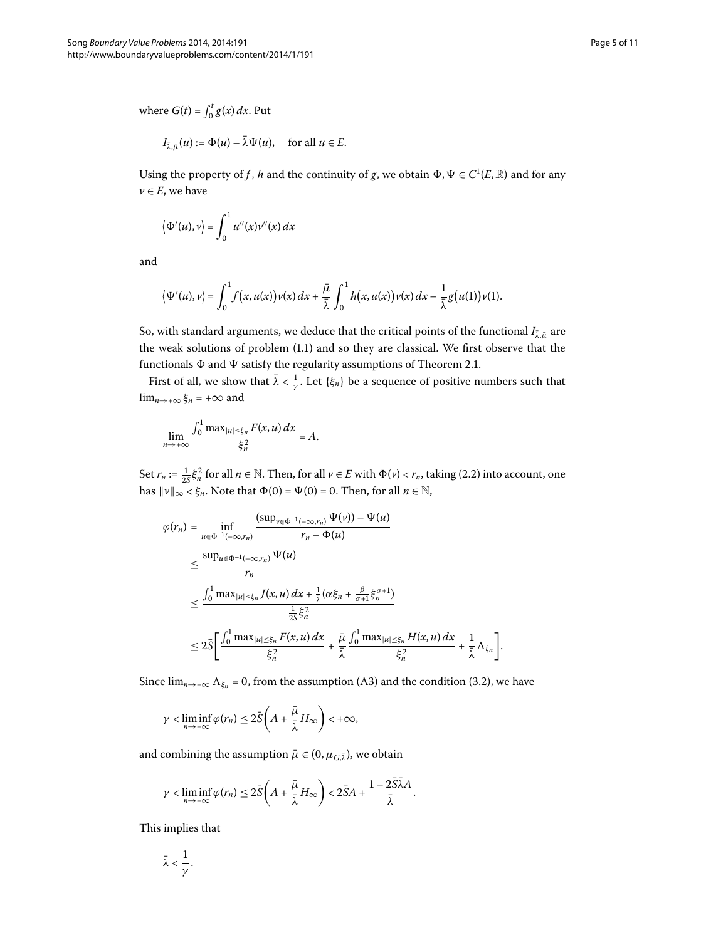where  $G(t) = \int_0^t g(x) dx$ . Put

$$
I_{\bar{\lambda},\bar{\mu}}(u) := \Phi(u) - \bar{\lambda}\Psi(u), \quad \text{for all } u \in E.
$$

Using the property of *f* , *h* and the continuity of *g*, we obtain  $\Phi$ ,  $\Psi \in C^1(E, \mathbb{R})$  and for any  $\nu \in E$ , we have

$$
\langle \Phi'(u), v \rangle = \int_0^1 u''(x) v''(x) \, dx
$$

and

$$
\langle \Psi'(u),v\rangle = \int_0^1 f(x,u(x))\nu(x)\,dx + \frac{\bar{\mu}}{\bar{\lambda}}\int_0^1 h(x,u(x))\nu(x)\,dx - \frac{1}{\bar{\lambda}}g(u(1))\nu(1).
$$

So, with standard arguments, we deduce that the critical points of the functional  $I_{\bar{\lambda},\bar{\mu}}$  are the weak solutions of problem  $(1.1)$  and so they are classical. We first observe that the functionals  $\Phi$  and  $\Psi$  satisfy the regularity assumptions of Theorem 2.1.

First of all, we show that  $\bar{\lambda} < \frac{1}{\gamma}$ . Let  $\{\xi_n\}$  be a sequence of positive numbers such that lim<sub>*n*→+∞</sub>  $\xi_n$  = +∞ and

$$
\lim_{n\to+\infty}\frac{\int_0^1\max_{|u|\leq \xi_n}F(x,u)\,dx}{\xi_n^2}=A.
$$

Set  $r_n := \frac{1}{25} \xi_n^2$  for all  $n \in \mathbb{N}$ . Then, for all  $v \in E$  with  $\Phi(v) < r_n$ , taking (2.2) into account, one has  $\|v\|_{\infty} < \xi_n$ . Note that  $\Phi(0) = \Psi(0) = 0$ . Then, for all  $n \in \mathbb{N}$ ,

$$
\varphi(r_n) = \inf_{u \in \Phi^{-1}(-\infty, r_n)} \frac{(\sup_{\nu \in \Phi^{-1}(-\infty, r_n)} \Psi(\nu)) - \Psi(u)}{r_n - \Phi(u)}
$$
\n
$$
\leq \frac{\sup_{u \in \Phi^{-1}(-\infty, r_n)} \Psi(u)}{r_n}
$$
\n
$$
\leq \frac{\int_0^1 \max_{|u| \leq \xi_n} J(x, u) dx + \frac{1}{\lambda} (\alpha \xi_n + \frac{\beta}{\sigma+1} \xi_n^{\sigma+1})}{\frac{1}{2S} \xi_n^2}
$$
\n
$$
\leq 2\overline{S} \bigg[ \frac{\int_0^1 \max_{|u| \leq \xi_n} F(x, u) dx}{\xi_n^2} + \frac{\overline{\mu}}{\overline{\lambda}} \frac{\int_0^1 \max_{|u| \leq \xi_n} H(x, u) dx}{\xi_n^2} + \frac{1}{\overline{\lambda}} \Lambda_{\xi_n} \bigg].
$$

Since  $\lim_{n\to+\infty}\Lambda_{\xi_n}=0$ , from the assumption (A3) and the condition (3.2), we have

$$
\gamma < \liminf_{n \to +\infty} \varphi(r_n) \leq 2\bar{S}\left(A + \frac{\bar{\mu}}{\bar{\lambda}}H_{\infty}\right) < +\infty,
$$

and combining the assumption  $\bar{\mu} \in (0, \mu_{G,\bar{\lambda}})$ , we obtain

$$
\gamma < \liminf_{n \to +\infty} \varphi(r_n) \leq 2\bar{S}\left(A + \frac{\bar{\mu}}{\bar{\lambda}}H_{\infty}\right) < 2\bar{S}A + \frac{1 - 2\bar{S}\bar{\lambda}A}{\bar{\lambda}}.
$$

This implies that

$$
\bar{\lambda}<\frac{1}{\gamma}.
$$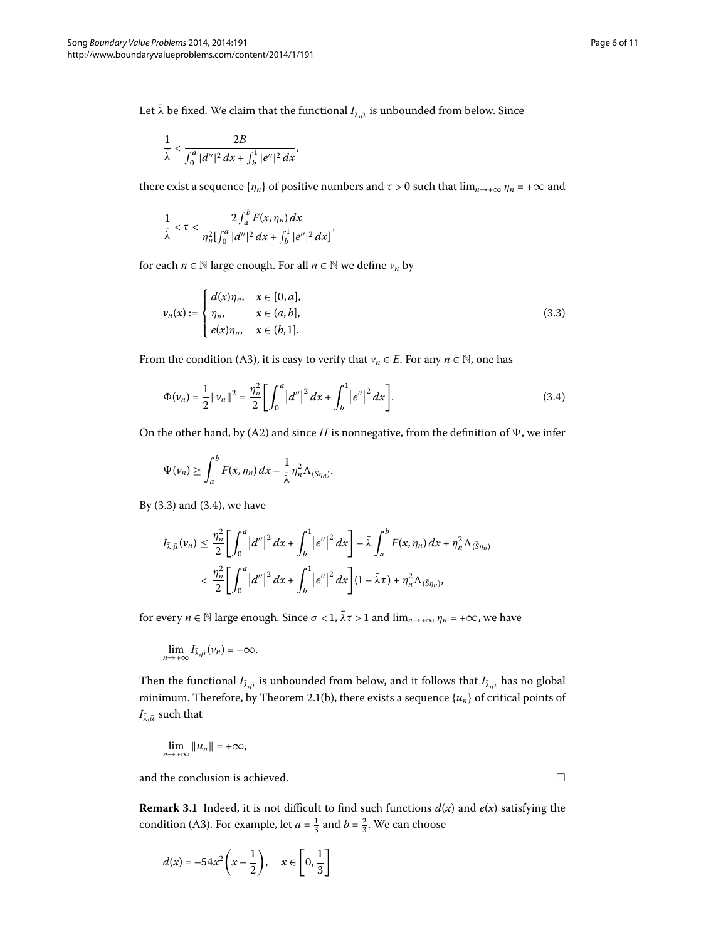Let  $\bar{\lambda}$  be fixed. We claim that the functional  $I_{\bar{\lambda},\bar{\mu}}$  is unbounded from below. Since

$$
\frac{1}{\bar{\lambda}} < \frac{2B}{\int_0^a |d''|^2 \, dx + \int_b^1 |e''|^2 \, dx},
$$

there exist a sequence  $\{\eta_n\}$  of positive numbers and  $\tau > 0$  such that  $\lim_{n \to +\infty} \eta_n = +\infty$  and

<span id="page-5-0"></span>
$$
\frac{1}{\bar{\lambda}} < \tau < \frac{2 \int_a^b F(x, \eta_n) dx}{\eta_n^2 [\int_0^a |d''|^2 dx + \int_b^1 |e''|^2 dx]},
$$

for each  $n \in \mathbb{N}$  large enough. For all  $n \in \mathbb{N}$  we define  $v_n$  by

<span id="page-5-1"></span>
$$
\nu_n(x) := \begin{cases} d(x)\eta_n, & x \in [0, a], \\ \eta_n, & x \in (a, b], \\ e(x)\eta_n, & x \in (b, 1]. \end{cases}
$$
 (3.3)

From the condition (A3), it is easy to verify that  $v_n \in E$ . For any  $n \in \mathbb{N}$ , one has

$$
\Phi(\nu_n) = \frac{1}{2} ||\nu_n||^2 = \frac{\eta_n^2}{2} \bigg[ \int_0^a |d''|^2 dx + \int_b^1 |e''|^2 dx \bigg].
$$
\n(3.4)

On the other hand, by (A2) and since *H* is nonnegative, from the definition of  $\Psi$ , we infer

$$
\Psi(\nu_n)\geq \int_a^b F(x,\eta_n)\,dx-\frac{1}{\overline{\lambda}}\eta_n^2\Lambda_{(\bar{S}\eta_n)}.
$$

By  $(3.3)$  $(3.3)$  $(3.3)$  and  $(3.4)$ , we have

$$
I_{\bar{\lambda},\bar{\mu}}(\nu_n) \leq \frac{\eta_n^2}{2} \left[ \int_0^a |d''|^2 dx + \int_b^1 |e''|^2 dx \right] - \bar{\lambda} \int_a^b F(x,\eta_n) dx + \eta_n^2 \Lambda_{(\bar{S}\eta_n)}
$$
  

$$
< \frac{\eta_n^2}{2} \left[ \int_0^a |d''|^2 dx + \int_b^1 |e''|^2 dx \right] (1 - \bar{\lambda}\tau) + \eta_n^2 \Lambda_{(\bar{S}\eta_n)},
$$

for every  $n \in \mathbb{N}$  large enough. Since  $\sigma < 1$ ,  $\bar{\lambda} \tau > 1$  and  $\lim_{n \to +\infty} \eta_n = +\infty$ , we have

$$
\lim_{n\to+\infty}I_{\bar{\lambda},\bar{\mu}}(\nu_n)=-\infty.
$$

Then the functional  $I_{\bar{\lambda},\bar{\mu}}$  is unbounded from below, and it follows that  $I_{\bar{\lambda},\bar{\mu}}$  has no global minimum. Therefore, by Theorem 2.1(b), there exists a sequence  ${u_n}$  of critical points of  $I_{\bar{\lambda},\bar{\mu}}$  such that

$$
\lim_{n\to+\infty}\|u_n\|=+\infty,
$$

and the conclusion is achieved.

**Remark 3.1** Indeed, it is not difficult to find such functions  $d(x)$  and  $e(x)$  satisfying the condition (A3). For example, let  $a = \frac{1}{3}$  and  $b = \frac{2}{3}$ . We can choose

$$
d(x) = -54x^2\left(x - \frac{1}{2}\right), \quad x \in \left[0, \frac{1}{3}\right]
$$

 $\Box$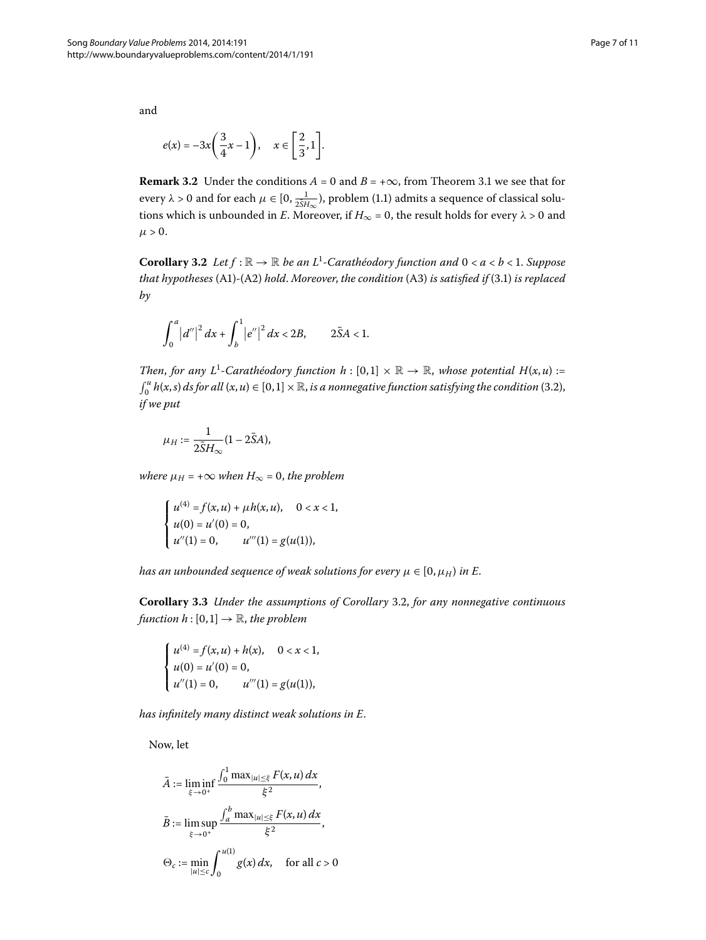and

$$
e(x) = -3x\left(\frac{3}{4}x - 1\right), \quad x \in \left[\frac{2}{3}, 1\right].
$$

<span id="page-6-0"></span>**Remark 3[.](#page-3-0)2** Under the conditions  $A = 0$  and  $B = +\infty$ , from Theorem 3.1 we see that for every  $\lambda > 0$  and for each  $\mu \in [0, \frac{1}{25H_\infty})$ , problem (1.1) admits a sequence of classical solutions which is unbounded in *E*. Moreover, if  $H_{\infty} = 0$ , the result holds for every  $\lambda > 0$  and  $\mu > 0$ .

**Corollary 3.2** Let  $f : \mathbb{R} \to \mathbb{R}$  be an  $L^1$ -Carathéodory function and  $0 < a < b < 1$ . Suppose *that hypotheses* (A1)-(A2) *hold. Moreover, the condition* (A3) *is satisfied if* (3.1) *is replaced by*

$$
\int_0^a |d''|^2 dx + \int_b^1 |e''|^2 dx < 2B, \qquad 2\bar{S}A < 1.
$$

*Then, for any L*<sup>1</sup>-Carathéodory function  $h : [0,1] \times \mathbb{R} \to \mathbb{R}$ , whose potential  $H(x, u) :=$  $\int_0^u h(x,s) \, ds$  for all  $(x,u) \in [0,1] \times \mathbb{R}$ , is a nonnegative function satisfying the condition (3.2), *if we put*

$$
\mu_H := \frac{1}{2\bar{S}H_{\infty}}(1 - 2\bar{S}A),
$$

<span id="page-6-1"></span>*where*  $\mu_H$  = + $\infty$  *when*  $H_{\infty}$  = 0, *the problem* 

$$
\begin{cases}\n u^{(4)} = f(x, u) + \mu h(x, u), & 0 < x < 1, \\
u(0) = u'(0) = 0, \\
u''(1) = 0, & u'''(1) = g(u(1)),\n\end{cases}
$$

*has an unbounded sequence of weak solutions for every*  $\mu \in [0, \mu_H)$  *in E.* 

**Corollary 3[.](#page-6-0)3** *Under the assumptions of Corollary 3.2, for any nonnegative continuous function*  $h : [0,1] \rightarrow \mathbb{R}$ *, the problem* 

$$
\begin{cases}\n u^{(4)} = f(x, u) + h(x), & 0 < x < 1, \\
u(0) = u'(0) = 0, & u'''(1) = g(u(1)),\n\end{cases}
$$

*has infinitely many distinct weak solutions in E*.

Now, let

$$
\bar{A} := \liminf_{\xi \to 0^+} \frac{\int_0^1 \max_{|u| \le \xi} F(x, u) \, dx}{\xi^2},
$$
\n
$$
\bar{B} := \limsup_{\xi \to 0^+} \frac{\int_a^b \max_{|u| \le \xi} F(x, u) \, dx}{\xi^2},
$$
\n
$$
\Theta_c := \min_{|u| \le c} \int_0^{u(1)} g(x) \, dx, \quad \text{for all } c > 0
$$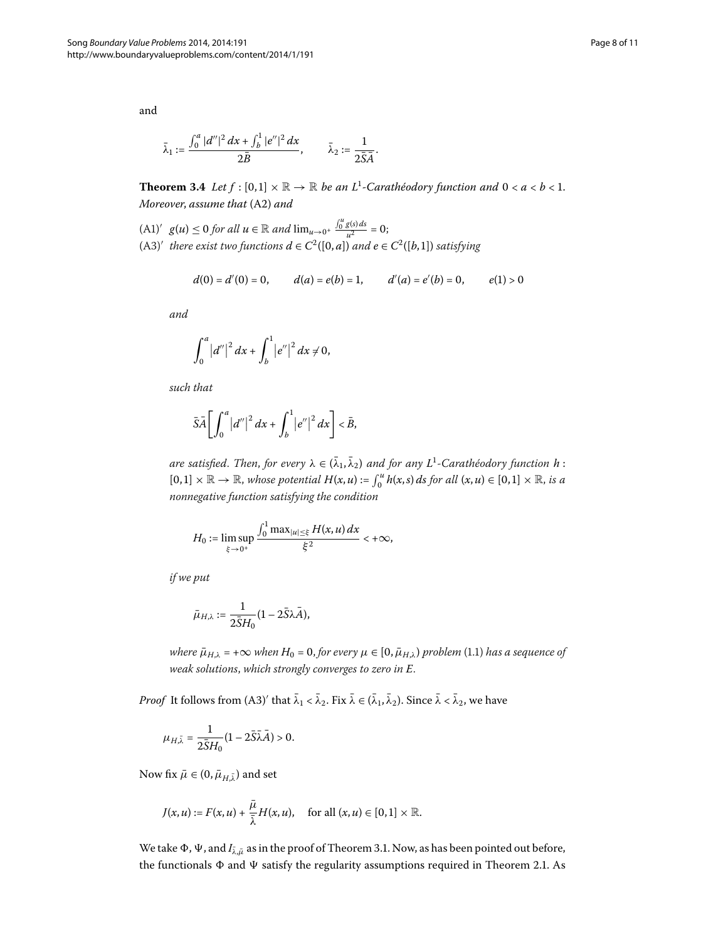$$
\bar{\lambda}_1:=\frac{\int_0^a |d''|^2\,dx+\int_b^1 |e''|^2\,dx}{2\bar{B}},\qquad \bar{\lambda}_2:=\frac{1}{2\bar{S}\bar{A}}.
$$

**Theorem 3.4** Let  $f : [0,1] \times \mathbb{R} \to \mathbb{R}$  be an L<sup>1</sup>-Carathéodory function and  $0 < a < b < 1$ . *Moreover, assume that* (A2) and

- $(A1)'$   $g(u) \le 0$  for all  $u \in \mathbb{R}$  and  $\lim_{u \to 0^+} \frac{\int_0^u g(s) ds}{u^2} = 0$ ;
- $(A3)'$  *there exist two functions*  $d \in C^2([0, a])$  *and*  $e \in C^2([b, 1])$  *satisfying*

$$
d(0) = d'(0) = 0,
$$
  $d(a) = e(b) = 1,$   $d'(a) = e'(b) = 0,$   $e(1) > 0$ 

*and*

$$
\int_0^a |d''|^2 dx + \int_b^1 |e''|^2 dx \neq 0,
$$

*such that*

$$
\bar{S}\bar{A}\bigg[\int_0^a \big|d''\big|^2\,dx + \int_b^1 \big|e''\big|^2\,dx\bigg] < \bar{B},
$$

 $a$ re satisfied. *Then, for every*  $\lambda \in (\bar{\lambda}_1, \bar{\lambda}_2)$  and for any  $L^1$ -Carathéodory function  $h$  :  $[0, 1] \times \mathbb{R} \to \mathbb{R}$ , whose potential  $H(x, u) := \int_0^u h(x, s) ds$  for all  $(x, u) \in [0, 1] \times \mathbb{R}$ , is a *nonnegative function satisfying the condition*

$$
H_0 := \limsup_{\xi \to 0^+} \frac{\int_0^1 \max_{|u| \le \xi} H(x, u) \, dx}{\xi^2} < +\infty,
$$

*if we put*

$$
\bar{\mu}_{H,\lambda} := \frac{1}{2\bar{S}H_0} (1 - 2\bar{S}\lambda\bar{A}),
$$

*where*  $\bar{\mu}_{H,\lambda}$  = + $\infty$  *when*  $H_0$  = 0, for every  $\mu \in [0, \bar{\mu}_{H,\lambda})$  problem (1.1) *has a sequence of weak solutions*, *which strongly converges to zero in E*.

*Proof* It follows from  $(A3)'$  that  $\lambda_1 < \lambda_2$ . Fix  $\lambda \in (\lambda_1, \lambda_2)$ . Since  $\lambda < \lambda_2$ , we have

$$
\mu_{H,\bar{\lambda}} = \frac{1}{2\bar{S}H_0} (1 - 2\bar{S}\bar{\lambda}\bar{A}) > 0.
$$

Now fix  $\bar{\mu} \in (0, \bar{\mu}_{H,\bar{\lambda}})$  and set

$$
J(x, u) := F(x, u) + \frac{\bar{\mu}}{\bar{\lambda}} H(x, u), \quad \text{for all } (x, u) \in [0, 1] \times \mathbb{R}.
$$

We take  $\Phi$ ,  $\Psi$ , and  $I_{\bar{\lambda},\bar{\mu}}$  as in the proof of Theorem 3[.](#page-3-0)1. Now, as has been pointed out before, the functionals  $\Phi$  and  $\Psi$  satisfy the regularity assumptions required in Theorem 2[.](#page-1-1)1. As

<span id="page-7-0"></span>and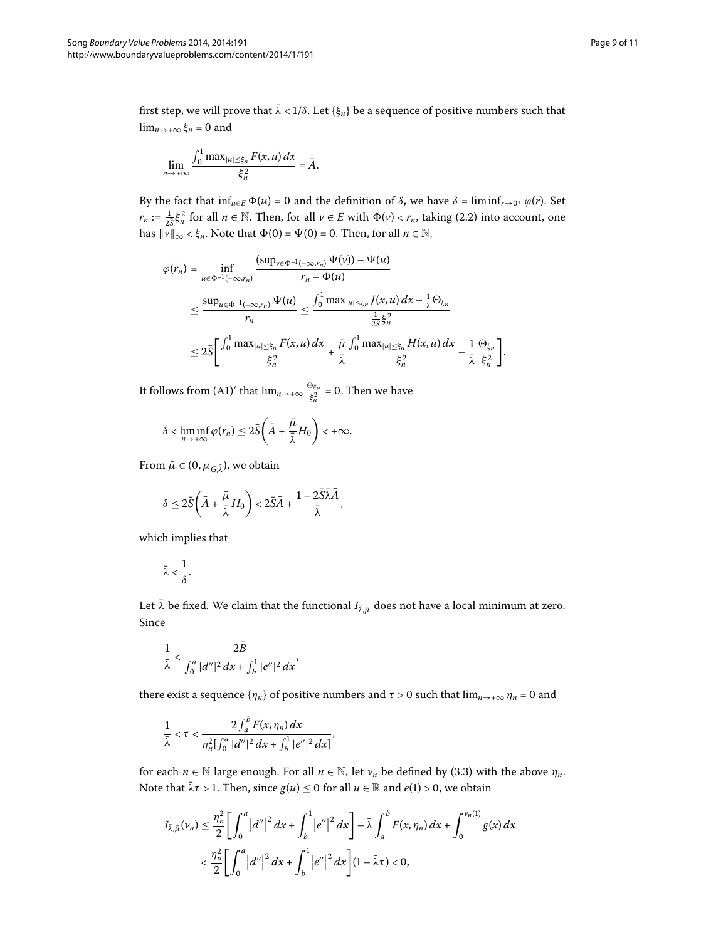first step, we will prove that  $\bar{\lambda}$  < 1/ $\delta$ . Let { $\xi_n$ } be a sequence of positive numbers such that lim<sub>*n*→+∞</sub>  $\xi_n$  = 0 and

$$
\lim_{n\to+\infty}\frac{\int_0^1\max_{|u|\leq \xi_n}F(x,u)\,dx}{\xi_n^2}=\bar{A}.
$$

By the fact that  $\inf_{u \in E} \Phi(u) = 0$  and the definition of *δ*, we have *δ* = lim  $\inf_{r \to 0^+} \varphi(r)$ . Set *r<sub>n</sub>* :=  $\frac{1}{25} \xi_n^2$  for all *n* ∈ N. Then, for all *v* ∈ *E* with  $\Phi(\nu) < r_n$ , taking (2.2) into account, one has  $\|\vec{v}\|_{\infty} < \xi_n$ . Note that  $\Phi(0) = \Psi(0) = 0$ . Then, for all  $n \in \mathbb{N}$ ,

$$
\varphi(r_n) = \inf_{u \in \Phi^{-1}(-\infty, r_n)} \frac{(\sup_{\nu \in \Phi^{-1}(-\infty, r_n)} \Psi(\nu)) - \Psi(u)}{r_n - \Phi(u)}
$$
  

$$
\leq \frac{\sup_{u \in \Phi^{-1}(-\infty, r_n)} \Psi(u)}{r_n} \leq \frac{\int_0^1 \max_{|u| \leq \xi_n} J(x, u) dx - \frac{1}{\lambda} \Theta_{\xi_n}}{\frac{1}{2\delta} \xi_n^2}
$$
  

$$
\leq 2\bar{S} \bigg[ \frac{\int_0^1 \max_{|u| \leq \xi_n} F(x, u) dx}{\xi_n^2} + \frac{\bar{\mu}}{\bar{\lambda}} \frac{\int_0^1 \max_{|u| \leq \xi_n} H(x, u) dx}{\xi_n^2} - \frac{1}{\bar{\lambda}} \frac{\Theta_{\xi_n}}{\xi_n^2} \bigg].
$$

It follows from (A1)<sup> $\prime$ </sup> that  $\lim_{n\to+\infty} \frac{\Theta_{\xi_n}}{\xi_n^2} = 0$ . Then we have

$$
\delta < \liminf_{n \to +\infty} \varphi(r_n) \leq 2\bar{S}\bigg(\bar{A} + \frac{\bar{\mu}}{\bar{\lambda}}H_0\bigg) < +\infty.
$$

From  $\bar{\mu} \in (0, \mu_{G,\bar{\lambda}})$ , we obtain

$$
\delta \leq 2 \bar{S} \bigg( \bar{A} + \frac{\bar{\mu}}{\bar{\lambda}} H_0 \bigg) < 2 \bar{S} \bar{A} + \frac{1 - 2 \bar{S} \bar{\lambda} \bar{A}}{\bar{\lambda}},
$$

which implies that

$$
\bar{\lambda}<\frac{1}{\delta}.
$$

Let  $\bar{\lambda}$  be fixed. We claim that the functional  $I_{\bar{\lambda},\bar{\mu}}$  does not have a local minimum at zero. Since

$$
\frac{1}{\bar{\lambda}} < \frac{2\bar{B}}{\int_0^a |d''|^2\,dx + \int_b^1 |e''|^2\,dx},
$$

there exist a sequence  $\{\eta_n\}$  of positive numbers and  $\tau > 0$  such that  $\lim_{n \to +\infty} \eta_n = 0$  and

$$
\frac{1}{\overline{\lambda}} < \tau < \frac{2\int_a^b F(x, \eta_n) dx}{\eta_n^2[\int_0^a |d''|^2 dx + \int_b^1 |e''|^2 dx]},
$$

for each  $n \in \mathbb{N}$  large enough. For all  $n \in \mathbb{N}$ , let  $\nu_n$  be defined by (3.3) with the above  $\eta_n$ . Note that  $\bar{\lambda} \tau > 1$ . Then, since  $g(u) \leq 0$  for all  $u \in \mathbb{R}$  and  $e(1) > 0$ , we obtain

$$
I_{\bar{\lambda},\bar{\mu}}(\nu_n) \leq \frac{\eta_n^2}{2} \left[ \int_0^a |d''|^2 dx + \int_b^1 |e''|^2 dx \right] - \bar{\lambda} \int_a^b F(x,\eta_n) dx + \int_0^{\nu_n(1)} g(x) dx
$$
  

$$
< \frac{\eta_n^2}{2} \left[ \int_0^a |d''|^2 dx + \int_b^1 |e''|^2 dx \right] (1 - \bar{\lambda}\tau) < 0,
$$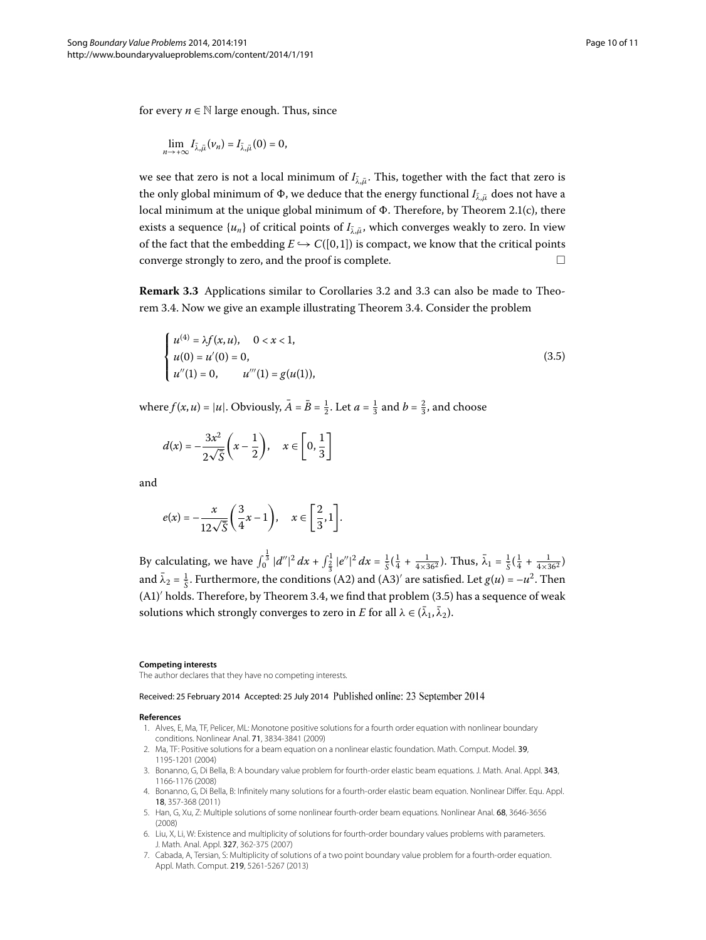for every  $n \in \mathbb{N}$  large enough. Thus, since

$$
\lim_{n\to+\infty}I_{\bar{\lambda},\bar{\mu}}(\nu_n)=I_{\bar{\lambda},\bar{\mu}}(0)=0,
$$

we see that zero is not a local minimum of  $I_{\lambda,\bar{\mu}}$ . This, together with the fact that zero is the only global minimum of Φ, we deduce that the energy functional *I<sub>λλ</sub>* does not have a local minimum at the unique global minimum of  $\Phi$ . Therefore, by Theorem 2.1(c), there exists a sequence { $u_n$ } of critical points of  $I_{\bar{i}}\bar{j}$ , which converges weakly to zero. In view of the fact that the embedding  $E \hookrightarrow C([0,1])$  is compact, we know that the critical points converge strongly to zero, and the proof is complete.  $\Box$ 

**Remark 3[.](#page-6-1)3** Applications similar to Corollaries 3.2 and 3.3 can also be made to Theorem 3.4. Now we give an example illustrating Theorem 3.4. Consider the problem

<span id="page-9-5"></span>
$$
\begin{cases}\n u^{(4)} = \lambda f(x, u), & 0 < x < 1, \\
u(0) = u'(0) = 0, & \\
u''(1) = 0, & u'''(1) = g(u(1)),\n\end{cases}
$$
\n(3.5)

where  $f(x, u) = |u|$ . Obviously,  $\bar{A} = \bar{B} = \frac{1}{2}$ . Let  $a = \frac{1}{3}$  and  $b = \frac{2}{3}$ , and choose

$$
d(x) = -\frac{3x^2}{2\sqrt{5}}\left(x - \frac{1}{2}\right), \quad x \in \left[0, \frac{1}{3}\right]
$$

and

$$
e(x) = -\frac{x}{12\sqrt{5}} \left(\frac{3}{4}x - 1\right), \quad x \in \left[\frac{2}{3}, 1\right].
$$

By calculating, we have  $\int_0^{\frac{1}{3}} |d''|^2 dx + \int_{\frac{2}{3}}^{\frac{1}{2}} |e''|^2 dx = \frac{1}{5}(\frac{1}{4} + \frac{1}{4 \times 36^2})$ . Thus,  $\bar{\lambda}_1 = \frac{1}{5}(\frac{1}{4} + \frac{1}{4 \times 36^2})$ and  $\bar{\lambda}_2 = \frac{1}{5}$ . Furthermore, the conditions (A2) and (A3)' are satisfied. Let  $g(u) = -u^2$ . Then  $(A1)'$  holds. Therefore, by Theorem 3.4, we find that problem (3.5) has a sequence of weak solutions which strongly converges to zero in *E* for all  $\lambda \in (\bar{\lambda}_1, \bar{\lambda}_2)$ .

#### <span id="page-9-2"></span><span id="page-9-1"></span><span id="page-9-0"></span>**Competing interests**

The author declares that they have no competing interests.

#### Received: 25 February 2014 Accepted: 25 July 2014 Published online: 23 September 2014

#### <span id="page-9-3"></span>**References**

- 1. Alves, E, Ma, TF, Pelicer, ML: Monotone positive solutions for a fourth order equation with nonlinear boundary conditions. Nonlinear Anal. 71, 3834-3841 (2009)
- <span id="page-9-4"></span>2. Ma, TF: Positive solutions for a beam equation on a nonlinear elastic foundation. Math. Comput. Model. 39, 1195-1201 (2004)
- 3. Bonanno, G, Di Bella, B: A boundary value problem for fourth-order elastic beam equations. J. Math. Anal. Appl. 343, 1166-1176 (2008)
- 4. Bonanno, G, Di Bella, B: Infinitely many solutions for a fourth-order elastic beam equation. Nonlinear Differ. Equ. Appl. 18, 357-368 (2011)
- 5. Han, G, Xu, Z: Multiple solutions of some nonlinear fourth-order beam equations. Nonlinear Anal. 68, 3646-3656 (2008)
- 6. Liu, X, Li, W: Existence and multiplicity of solutions for fourth-order boundary values problems with parameters. J. Math. Anal. Appl. 327, 362-375 (2007)
- 7. Cabada, A, Tersian, S: Multiplicity of solutions of a two point boundary value problem for a fourth-order equation. Appl. Math. Comput. 219, 5261-5267 (2013)